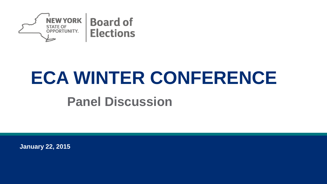

# **ECA WINTER CONFERENCE**

#### **Panel Discussion**

**January 22, 2015**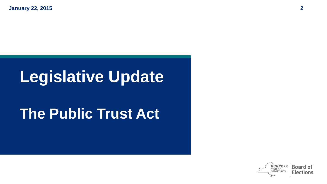**January 22, 2015 2**

#### **Legislative Update**

#### **The Public Trust Act**

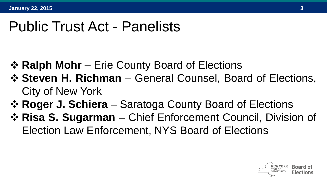#### Public Trust Act - Panelists

- **☆ Ralph Mohr** Erie County Board of Elections
- **Steven H. Richman** General Counsel, Board of Elections, City of New York
- **Roger J. Schiera** Saratoga County Board of Elections
- **Risa S. Sugarman** Chief Enforcement Council, Division of Election Law Enforcement, NYS Board of Elections

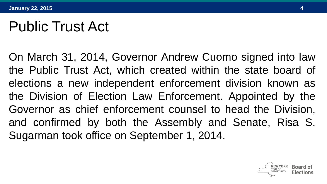#### Public Trust Act

On March 31, 2014, Governor Andrew Cuomo signed into law the Public Trust Act, which created within the state board of elections a new independent enforcement division known as the Division of Election Law Enforcement. Appointed by the Governor as chief enforcement counsel to head the Division, and confirmed by both the Assembly and Senate, Risa S. Sugarman took office on September 1, 2014.

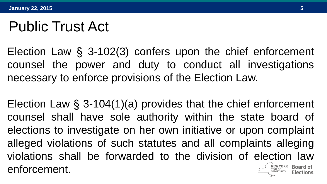#### Public Trust Act

Election Law § 3-102(3) confers upon the chief enforcement counsel the power and duty to conduct all investigations necessary to enforce provisions of the Election Law.

Election Law § 3-104(1)(a) provides that the chief enforcement counsel shall have sole authority within the state board of elections to investigate on her own initiative or upon complaint alleged violations of such statutes and all complaints alleging violations shall be forwarded to the division of election law enforcement.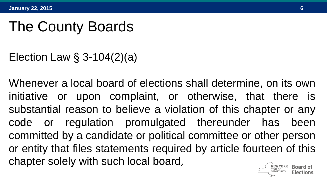Election Law § 3-104(2)(a)

Whenever a local board of elections shall determine, on its own initiative or upon complaint, or otherwise, that there is substantial reason to believe a violation of this chapter or any code or regulation promulgated thereunder has been committed by a candidate or political committee or other person or entity that files statements required by article fourteen of this chapter solely with such local board,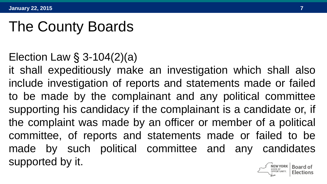#### Election Law § 3-104(2)(a)

it shall expeditiously make an investigation which shall also include investigation of reports and statements made or failed to be made by the complainant and any political committee supporting his candidacy if the complainant is a candidate or, if the complaint was made by an officer or member of a political committee, of reports and statements made or failed to be made by such political committee and any candidates supported by it.**Board o**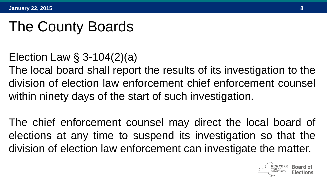Election Law § 3-104(2)(a)

The local board shall report the results of its investigation to the division of election law enforcement chief enforcement counsel within ninety days of the start of such investigation.

The chief enforcement counsel may direct the local board of elections at any time to suspend its investigation so that the division of election law enforcement can investigate the matter.

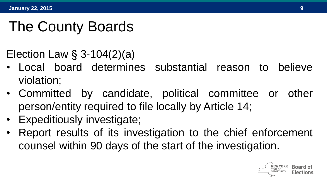Election Law § 3-104(2)(a)

- Local board determines substantial reason to believe violation;
- Committed by candidate, political committee or other person/entity required to file locally by Article 14;
- Expeditiously investigate;
- Report results of its investigation to the chief enforcement counsel within 90 days of the start of the investigation.

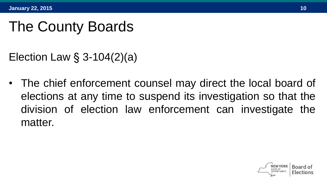Election Law § 3-104(2)(a)

• The chief enforcement counsel may direct the local board of elections at any time to suspend its investigation so that the division of election law enforcement can investigate the matter.

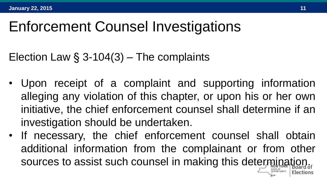Election Law  $\S$  3-104(3) – The complaints

- Upon receipt of a complaint and supporting information alleging any violation of this chapter, or upon his or her own initiative, the chief enforcement counsel shall determine if an investigation should be undertaken.
- If necessary, the chief enforcement counsel shall obtain additional information from the complainant or from other sources to assist such counsel in making this determination.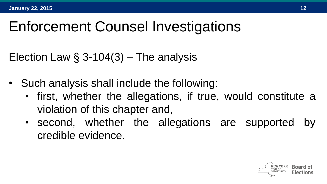Election Law  $\S$  3-104(3) – The analysis

- Such analysis shall include the following:
	- first, whether the allegations, if true, would constitute a violation of this chapter and,
	- second, whether the allegations are supported by credible evidence.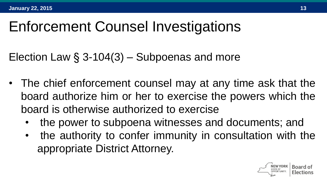Election Law § 3-104(3) – Subpoenas and more

- The chief enforcement counsel may at any time ask that the board authorize him or her to exercise the powers which the board is otherwise authorized to exercise
	- the power to subpoena witnesses and documents; and
	- the authority to confer immunity in consultation with the appropriate District Attorney.

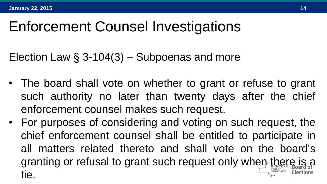Election Law § 3-104(3) – Subpoenas and more

- The board shall vote on whether to grant or refuse to grant such authority no later than twenty days after the chief enforcement counsel makes such request.
- For purposes of considering and voting on such request, the chief enforcement counsel shall be entitled to participate in all matters related thereto and shall vote on the board's granting or refusal to grant such request only when there is a tie.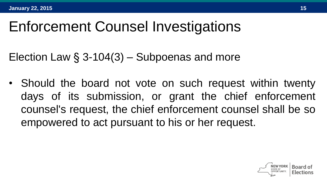Election Law § 3-104(3) – Subpoenas and more

• Should the board not vote on such request within twenty days of its submission, or grant the chief enforcement counsel's request, the chief enforcement counsel shall be so empowered to act pursuant to his or her request.

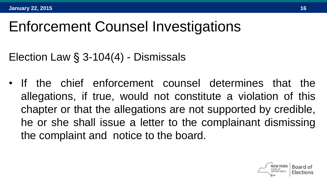Election Law § 3-104(4) - Dismissals

• If the chief enforcement counsel determines that the allegations, if true, would not constitute a violation of this chapter or that the allegations are not supported by credible, he or she shall issue a letter to the complainant dismissing the complaint and notice to the board.

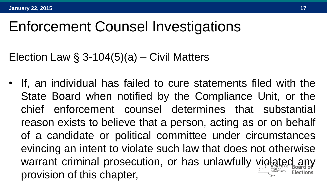Election Law  $\S$  3-104(5)(a) – Civil Matters

• If, an individual has failed to cure statements filed with the State Board when notified by the Compliance Unit, or the chief enforcement counsel determines that substantial reason exists to believe that a person, acting as or on behalf of a candidate or political committee under circumstances evincing an intent to violate such law that does not otherwise warrant criminal prosecution, or has unlawfully violated any provision of this chapter,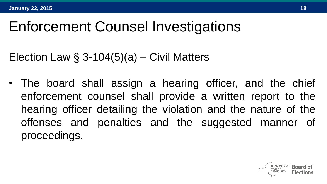Election Law  $\S$  3-104(5)(a) – Civil Matters

• The board shall assign a hearing officer, and the chief enforcement counsel shall provide a written report to the hearing officer detailing the violation and the nature of the offenses and penalties and the suggested manner of proceedings.

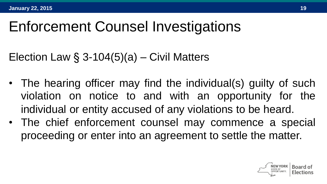Election Law  $\S$  3-104(5)(a) – Civil Matters

- The hearing officer may find the individual(s) guilty of such violation on notice to and with an opportunity for the individual or entity accused of any violations to be heard.
- The chief enforcement counsel may commence a special proceeding or enter into an agreement to settle the matter.

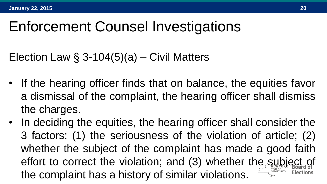Election Law  $\S$  3-104(5)(a) – Civil Matters

- If the hearing officer finds that on balance, the equities favor a dismissal of the complaint, the hearing officer shall dismiss the charges.
- In deciding the equities, the hearing officer shall consider the 3 factors: (1) the seriousness of the violation of article; (2) whether the subject of the complaint has made a good faith effort to correct the violation; and (3) whether the subject of the complaint has a history of similar violations.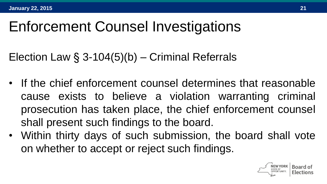Election Law § 3-104(5)(b) – Criminal Referrals

- If the chief enforcement counsel determines that reasonable cause exists to believe a violation warranting criminal prosecution has taken place, the chief enforcement counsel shall present such findings to the board.
- Within thirty days of such submission, the board shall vote on whether to accept or reject such findings.

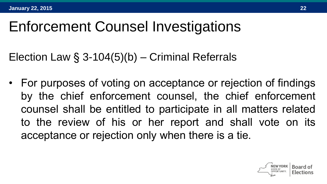Election Law § 3-104(5)(b) – Criminal Referrals

• For purposes of voting on acceptance or rejection of findings by the chief enforcement counsel, the chief enforcement counsel shall be entitled to participate in all matters related to the review of his or her report and shall vote on its acceptance or rejection only when there is a tie.

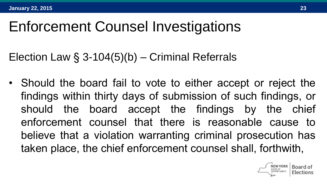Election Law § 3-104(5)(b) – Criminal Referrals

• Should the board fail to vote to either accept or reject the findings within thirty days of submission of such findings, or should the board accept the findings by the chief enforcement counsel that there is reasonable cause to believe that a violation warranting criminal prosecution has taken place, the chief enforcement counsel shall, forthwith,

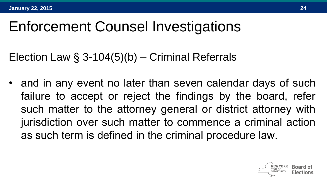Election Law § 3-104(5)(b) – Criminal Referrals

• and in any event no later than seven calendar days of such failure to accept or reject the findings by the board, refer such matter to the attorney general or district attorney with jurisdiction over such matter to commence a criminal action as such term is defined in the criminal procedure law.

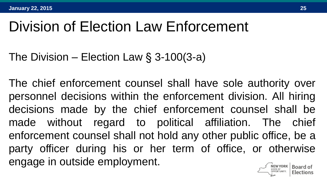# Division of Election Law Enforcement

The Division – Election Law § 3-100(3-a)

The chief enforcement counsel shall have sole authority over personnel decisions within the enforcement division. All hiring decisions made by the chief enforcement counsel shall be made without regard to political affiliation. The chief enforcement counsel shall not hold any other public office, be a party officer during his or her term of office, or otherwise engage in outside employment.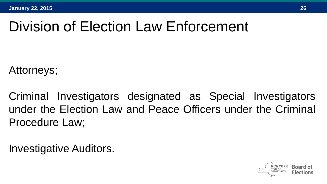# Division of Election Law Enforcement

Attorneys;

Criminal Investigators designated as Special Investigators under the Election Law and Peace Officers under the Criminal Procedure Law;

Investigative Auditors.